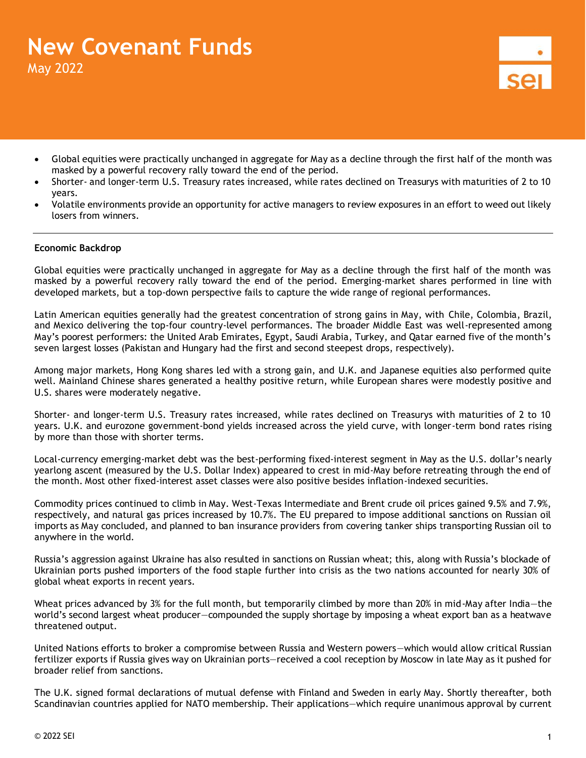# **New Covenant Funds** May 2022

- 
- Global equities were practically unchanged in aggregate for May as a decline through the first half of the month was masked by a powerful recovery rally toward the end of the period.
- Shorter- and longer-term U.S. Treasury rates increased, while rates declined on Treasurys with maturities of 2 to 10 years.
- Volatile environments provide an opportunity for active managers to review exposures in an effort to weed out likely losers from winners.

### **Economic Backdrop**

Global equities were practically unchanged in aggregate for May as a decline through the first half of the month was masked by a powerful recovery rally toward the end of the period. Emerging-market shares performed in line with developed markets, but a top-down perspective fails to capture the wide range of regional performances.

Latin American equities generally had the greatest concentration of strong gains in May, with Chile, Colombia, Brazil, and Mexico delivering the top-four country-level performances. The broader Middle East was well-represented among May's poorest performers: the United Arab Emirates, Egypt, Saudi Arabia, Turkey, and Qatar earned five of the month's seven largest losses (Pakistan and Hungary had the first and second steepest drops, respectively).

Among major markets, Hong Kong shares led with a strong gain, and U.K. and Japanese equities also performed quite well. Mainland Chinese shares generated a healthy positive return, while European shares were modestly positive and U.S. shares were moderately negative.

Shorter- and longer-term U.S. Treasury rates increased, while rates declined on Treasurys with maturities of 2 to 10 years. U.K. and eurozone government-bond yields increased across the yield curve, with longer-term bond rates rising by more than those with shorter terms.

Local-currency emerging-market debt was the best-performing fixed-interest segment in May as the U.S. dollar's nearly yearlong ascent (measured by the U.S. Dollar Index) appeared to crest in mid-May before retreating through the end of the month. Most other fixed-interest asset classes were also positive besides inflation-indexed securities.

Commodity prices continued to climb in May. West-Texas Intermediate and Brent crude oil prices gained 9.5% and 7.9%, respectively, and natural gas prices increased by 10.7%. The EU prepared to impose additional sanctions on Russian oil imports as May concluded, and planned to ban insurance providers from covering tanker ships transporting Russian oil to anywhere in the world.

Russia's aggression against Ukraine has also resulted in sanctions on Russian wheat; this, along with Russia's blockade of Ukrainian ports pushed importers of the food staple further into crisis as the two nations accounted for nearly 30% of global wheat exports in recent years.

Wheat prices advanced by 3% for the full month, but temporarily climbed by more than 20% in mid-May after India—the world's second largest wheat producer—compounded the supply shortage by imposing a wheat export ban as a heatwave threatened output.

United Nations efforts to broker a compromise between Russia and Western powers—which would allow critical Russian fertilizer exports if Russia gives way on Ukrainian ports—received a cool reception by Moscow in late May as it pushed for broader relief from sanctions.

The U.K. signed formal declarations of mutual defense with Finland and Sweden in early May. Shortly thereafter, both Scandinavian countries applied for NATO membership. Their applications—which require unanimous approval by current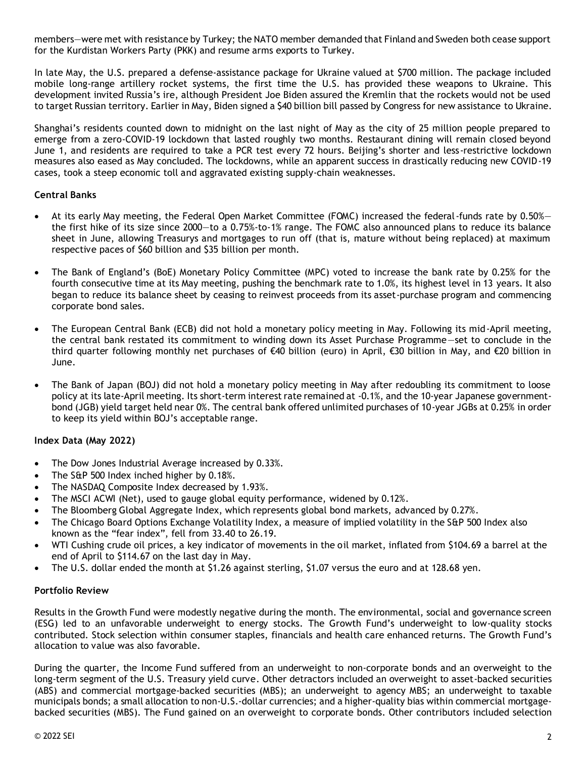members—were met with resistance by Turkey; the NATO member demanded that Finland and Sweden both cease support for the Kurdistan Workers Party (PKK) and resume arms exports to Turkey.

In late May, the U.S. prepared a defense-assistance package for Ukraine valued at \$700 million. The package included mobile long-range artillery rocket systems, the first time the U.S. has provided these weapons to Ukraine. This development invited Russia's ire, although President Joe Biden assured the Kremlin that the rockets would not be used to target Russian territory. Earlier in May, Biden signed a \$40 billion bill passed by Congress for new assistance to Ukraine.

Shanghai's residents counted down to midnight on the last night of May as the city of 25 million people prepared to emerge from a zero-COVID-19 lockdown that lasted roughly two months. Restaurant dining will remain closed beyond June 1, and residents are required to take a PCR test every 72 hours. Beijing's shorter and less-restrictive lockdown measures also eased as May concluded. The lockdowns, while an apparent success in drastically reducing new COVID-19 cases, took a steep economic toll and aggravated existing supply-chain weaknesses.

## **Central Banks**

- At its early May meeting, the Federal Open Market Committee (FOMC) increased the federal-funds rate by 0.50% the first hike of its size since 2000—to a 0.75%-to-1% range. The FOMC also announced plans to reduce its balance sheet in June, allowing Treasurys and mortgages to run off (that is, mature without being replaced) at maximum respective paces of \$60 billion and \$35 billion per month.
- The Bank of England's (BoE) Monetary Policy Committee (MPC) voted to increase the bank rate by 0.25% for the fourth consecutive time at its May meeting, pushing the benchmark rate to 1.0%, its highest level in 13 years. It also began to reduce its balance sheet by ceasing to reinvest proceeds from its asset-purchase program and commencing corporate bond sales.
- The European Central Bank (ECB) did not hold a monetary policy meeting in May. Following its mid-April meeting, the central bank restated its commitment to winding down its Asset Purchase Programme—set to conclude in the third quarter following monthly net purchases of €40 billion (euro) in April, €30 billion in May, and €20 billion in June.
- The Bank of Japan (BOJ) did not hold a monetary policy meeting in May after redoubling its commitment to loose policy at its late-April meeting. Its short-term interest rate remained at -0.1%, and the 10-year Japanese governmentbond (JGB) yield target held near 0%. The central bank offered unlimited purchases of 10-year JGBs at 0.25% in order to keep its yield within BOJ's acceptable range.

## **Index Data (May 2022)**

- The Dow Jones Industrial Average increased by 0.33%.
- The S&P 500 Index inched higher by 0.18%.
- The NASDAQ Composite Index decreased by 1.93%.
- The MSCI ACWI (Net), used to gauge global equity performance, widened by 0.12%.
- The Bloomberg Global Aggregate Index, which represents global bond markets, advanced by 0.27%.
- The Chicago Board Options Exchange Volatility Index, a measure of implied volatility in the S&P 500 Index also known as the "fear index", fell from 33.40 to 26.19.
- WTI Cushing crude oil prices, a key indicator of movements in the oil market, inflated from \$104.69 a barrel at the end of April to \$114.67 on the last day in May.
- The U.S. dollar ended the month at \$1.26 against sterling, \$1.07 versus the euro and at 128.68 yen.

## **Portfolio Review**

Results in the Growth Fund were modestly negative during the month. The environmental, social and governance screen (ESG) led to an unfavorable underweight to energy stocks. The Growth Fund's underweight to low-quality stocks contributed. Stock selection within consumer staples, financials and health care enhanced returns. The Growth Fund's allocation to value was also favorable.

During the quarter, the Income Fund suffered from an underweight to non-corporate bonds and an overweight to the long-term segment of the U.S. Treasury yield curve. Other detractors included an overweight to asset-backed securities (ABS) and commercial mortgage-backed securities (MBS); an underweight to agency MBS; an underweight to taxable municipals bonds; a small allocation to non-U.S.-dollar currencies; and a higher-quality bias within commercial mortgagebacked securities (MBS). The Fund gained on an overweight to corporate bonds. Other contributors included selection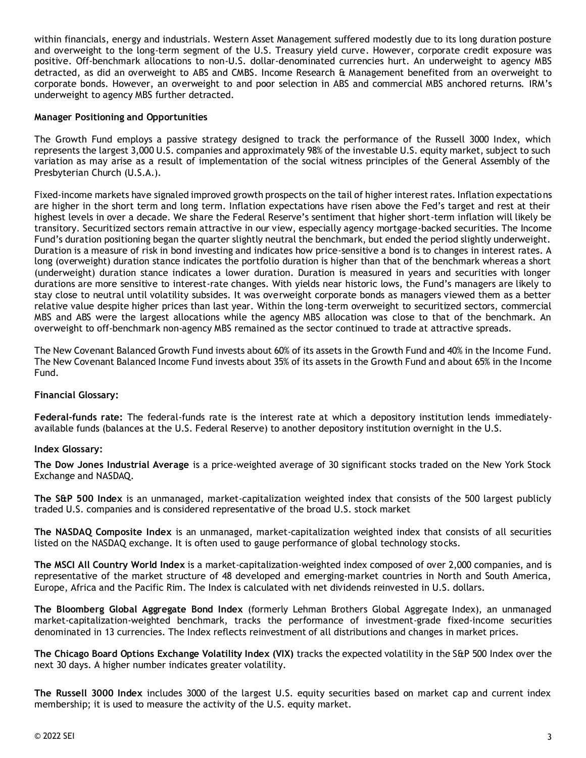within financials, energy and industrials. Western Asset Management suffered modestly due to its long duration posture and overweight to the long-term segment of the U.S. Treasury yield curve. However, corporate credit exposure was positive. Off-benchmark allocations to non-U.S. dollar-denominated currencies hurt. An underweight to agency MBS detracted, as did an overweight to ABS and CMBS. Income Research & Management benefited from an overweight to corporate bonds. However, an overweight to and poor selection in ABS and commercial MBS anchored returns. IRM's underweight to agency MBS further detracted.

#### **Manager Positioning and Opportunities**

The Growth Fund employs a passive strategy designed to track the performance of the Russell 3000 Index, which represents the largest 3,000 U.S. companies and approximately 98% of the investable U.S. equity market, subject to such variation as may arise as a result of implementation of the social witness principles of the General Assembly of the Presbyterian Church (U.S.A.).

Fixed-income markets have signaled improved growth prospects on the tail of higher interest rates. Inflation expectations are higher in the short term and long term. Inflation expectations have risen above the Fed's target and rest at their highest levels in over a decade. We share the Federal Reserve's sentiment that higher short-term inflation will likely be transitory. Securitized sectors remain attractive in our view, especially agency mortgage-backed securities. The Income Fund's duration positioning began the quarter slightly neutral the benchmark, but ended the period slightly underweight. Duration is a measure of risk in bond investing and indicates how price-sensitive a bond is to changes in interest rates. A long (overweight) duration stance indicates the portfolio duration is higher than that of the benchmark whereas a short (underweight) duration stance indicates a lower duration. Duration is measured in years and securities with longer durations are more sensitive to interest-rate changes. With yields near historic lows, the Fund's managers are likely to stay close to neutral until volatility subsides. It was overweight corporate bonds as managers viewed them as a better relative value despite higher prices than last year. Within the long-term overweight to securitized sectors, commercial MBS and ABS were the largest allocations while the agency MBS allocation was close to that of the benchmark. An overweight to off-benchmark non-agency MBS remained as the sector continued to trade at attractive spreads.

The New Covenant Balanced Growth Fund invests about 60% of its assets in the Growth Fund and 40% in the Income Fund. The New Covenant Balanced Income Fund invests about 35% of its assets in the Growth Fund and about 65% in the Income Fund.

## **Financial Glossary:**

**Federal-funds rate:** The federal-funds rate is the interest rate at which a depository institution lends immediatelyavailable funds (balances at the U.S. Federal Reserve) to another depository institution overnight in the U.S.

#### **Index Glossary:**

**The Dow Jones Industrial Average** is a price-weighted average of 30 significant stocks traded on the New York Stock Exchange and NASDAQ.

**The S&P 500 Index** is an unmanaged, market-capitalization weighted index that consists of the 500 largest publicly traded U.S. companies and is considered representative of the broad U.S. stock market

**The NASDAQ Composite Index** is an unmanaged, market-capitalization weighted index that consists of all securities listed on the NASDAQ exchange. It is often used to gauge performance of global technology stocks.

**The MSCI All Country World Index** is a market-capitalization-weighted index composed of over 2,000 companies, and is representative of the market structure of 48 developed and emerging-market countries in North and South America, Europe, Africa and the Pacific Rim. The Index is calculated with net dividends reinvested in U.S. dollars.

**The Bloomberg Global Aggregate Bond Index** (formerly Lehman Brothers Global Aggregate Index), an unmanaged market-capitalization-weighted benchmark, tracks the performance of investment-grade fixed-income securities denominated in 13 currencies. The Index reflects reinvestment of all distributions and changes in market prices.

**The Chicago Board Options Exchange Volatility Index (VIX)** tracks the expected volatility in the S&P 500 Index over the next 30 days. A higher number indicates greater volatility.

**The Russell 3000 Index** includes 3000 of the largest U.S. equity securities based on market cap and current index membership; it is used to measure the activity of the U.S. equity market.